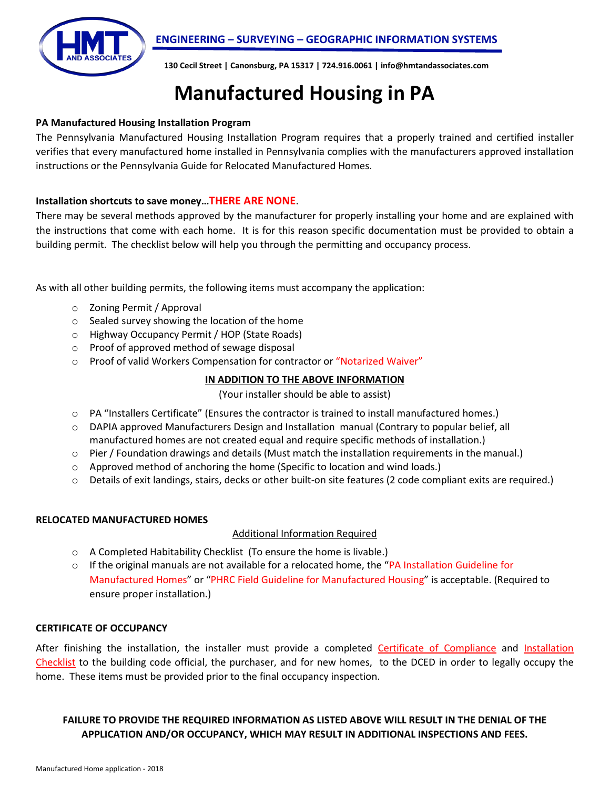



**130 Cecil Street | Canonsburg, PA 15317 | 724.916.0061 | info@hmtandassociates.com**

# **Manufactured Housing in PA**

#### **PA Manufactured Housing Installation Program**

The Pennsylvania Manufactured Housing Installation Program requires that a properly trained and certified installer verifies that every manufactured home installed in Pennsylvania complies with the manufacturers approved installation instructions or the Pennsylvania Guide for Relocated Manufactured Homes.

#### **Installation shortcuts to save money…THERE ARE NONE**.

There may be several methods approved by the manufacturer for properly installing your home and are explained with the instructions that come with each home. It is for this reason specific documentation must be provided to obtain a building permit. The checklist below will help you through the permitting and occupancy process.

As with all other building permits, the following items must accompany the application:

- o Zoning Permit / Approval
- o Sealed survey showing the location of the home
- o Highway Occupancy Permit / HOP (State Roads)
- o Proof of approved method of sewage disposal
- o Proof of valid Workers Compensation for contractor or "Notarized Waiver"

### **IN ADDITION TO THE ABOVE INFORMATION**

(Your installer should be able to assist)

- o PA "Installers Certificate" (Ensures the contractor is trained to install manufactured homes.)
- o DAPIA approved Manufacturers Design and Installation manual (Contrary to popular belief, all manufactured homes are not created equal and require specific methods of installation.)
- $\circ$  Pier / Foundation drawings and details (Must match the installation requirements in the manual.)
- $\circ$  Approved method of anchoring the home (Specific to location and wind loads.)
- o Details of exit landings, stairs, decks or other built-on site features (2 code compliant exits are required.)

#### **RELOCATED MANUFACTURED HOMES**

#### Additional Information Required

- o A Completed Habitability Checklist (To ensure the home is livable.)
- $\circ$  If the original manuals are not available for a relocated home, the "PA Installation Guideline for Manufactured Homes" or "PHRC Field Guideline for Manufactured Housing" is acceptable. (Required to ensure proper installation.)

#### **CERTIFICATE OF OCCUPANCY**

After finishing the installation, the installer must provide a completed Certificate of Compliance and Installation Checklist to the building code official, the purchaser, and for new homes, to the DCED in order to legally occupy the home. These items must be provided prior to the final occupancy inspection.

## **FAILURE TO PROVIDE THE REQUIRED INFORMATION AS LISTED ABOVE WILL RESULT IN THE DENIAL OF THE APPLICATION AND/OR OCCUPANCY, WHICH MAY RESULT IN ADDITIONAL INSPECTIONS AND FEES.**